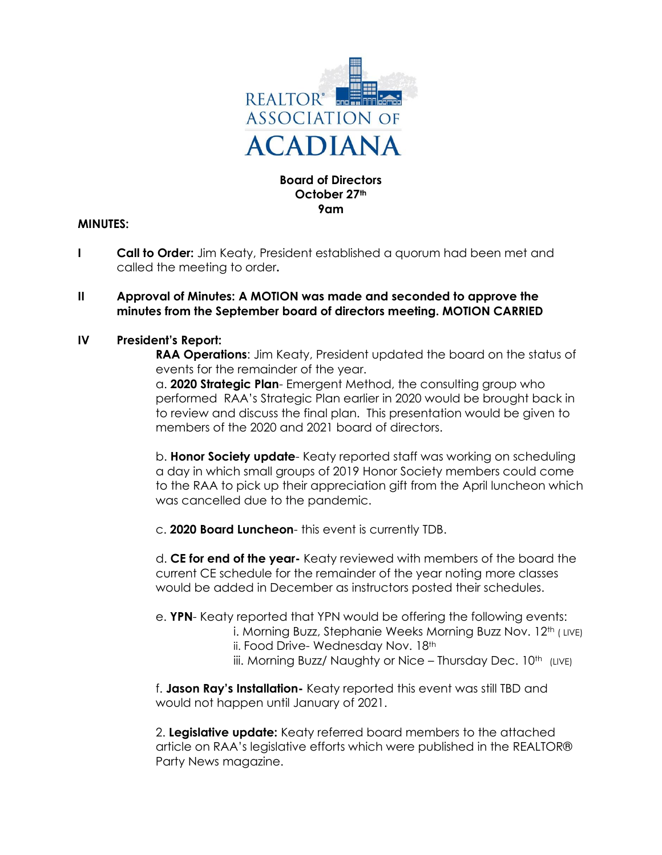

#### **Board of Directors October 27th 9am**

### **MINUTES:**

**I Call to Order:** Jim Keaty, President established a quorum had been met and called the meeting to order**.**

#### **II Approval of Minutes: A MOTION was made and seconded to approve the minutes from the September board of directors meeting. MOTION CARRIED**

#### **IV President's Report:**

**RAA Operations**: Jim Keaty, President updated the board on the status of events for the remainder of the year.

a. **2020 Strategic Plan**- Emergent Method, the consulting group who performed RAA's Strategic Plan earlier in 2020 would be brought back in to review and discuss the final plan. This presentation would be given to members of the 2020 and 2021 board of directors.

b. **Honor Society update**- Keaty reported staff was working on scheduling a day in which small groups of 2019 Honor Society members could come to the RAA to pick up their appreciation gift from the April luncheon which was cancelled due to the pandemic.

c. **2020 Board Luncheon**- this event is currently TDB.

d. **CE for end of the year-** Keaty reviewed with members of the board the current CE schedule for the remainder of the year noting more classes would be added in December as instructors posted their schedules.

e. **YPN**- Keaty reported that YPN would be offering the following events:

- i. Morning Buzz, Stephanie Weeks Morning Buzz Nov. 12<sup>th</sup> (LIVE) ii. Food Drive- Wednesday Nov. 18th
- iii. Morning Buzz/ Naughty or Nice Thursday Dec. 10<sup>th</sup> (LIVE)

f. **Jason Ray's Installation-** Keaty reported this event was still TBD and would not happen until January of 2021.

2. **Legislative update:** Keaty referred board members to the attached article on RAA's legislative efforts which were published in the REALTOR® Party News magazine.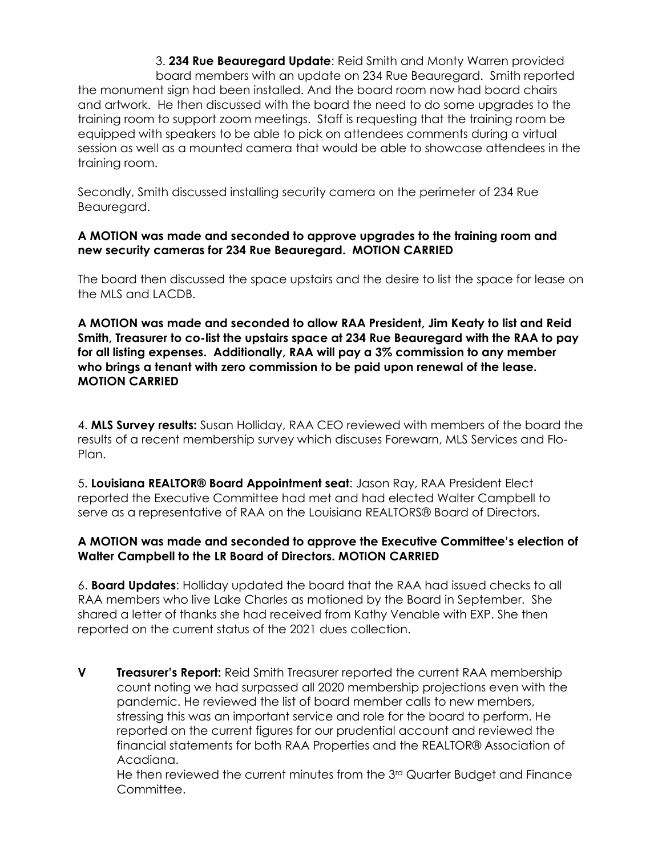3. **234 Rue Beauregard Update**: Reid Smith and Monty Warren provided board members with an update on 234 Rue Beauregard. Smith reported the monument sign had been installed. And the board room now had board chairs and artwork. He then discussed with the board the need to do some upgrades to the training room to support zoom meetings. Staff is requesting that the training room be equipped with speakers to be able to pick on attendees comments during a virtual session as well as a mounted camera that would be able to showcase attendees in the training room.

Secondly, Smith discussed installing security camera on the perimeter of 234 Rue Beauregard.

## **A MOTION was made and seconded to approve upgrades to the training room and new security cameras for 234 Rue Beauregard. MOTION CARRIED**

The board then discussed the space upstairs and the desire to list the space for lease on the MLS and LACDB.

**A MOTION was made and seconded to allow RAA President, Jim Keaty to list and Reid Smith, Treasurer to co-list the upstairs space at 234 Rue Beauregard with the RAA to pay for all listing expenses. Additionally, RAA will pay a 3% commission to any member who brings a tenant with zero commission to be paid upon renewal of the lease. MOTION CARRIED**

4. **MLS Survey results:** Susan Holliday, RAA CEO reviewed with members of the board the results of a recent membership survey which discuses Forewarn, MLS Services and Flo-Plan.

5. **Louisiana REALTOR® Board Appointment seat**: Jason Ray, RAA President Elect reported the Executive Committee had met and had elected Walter Campbell to serve as a representative of RAA on the Louisiana REALTORS® Board of Directors.

# **A MOTION was made and seconded to approve the Executive Committee's election of Walter Campbell to the LR Board of Directors. MOTION CARRIED**

6. **Board Updates**: Holliday updated the board that the RAA had issued checks to all RAA members who live Lake Charles as motioned by the Board in September. She shared a letter of thanks she had received from Kathy Venable with EXP. She then reported on the current status of the 2021 dues collection.

**V Treasurer's Report:** Reid Smith Treasurer reported the current RAA membership count noting we had surpassed all 2020 membership projections even with the pandemic. He reviewed the list of board member calls to new members, stressing this was an important service and role for the board to perform. He reported on the current figures for our prudential account and reviewed the financial statements for both RAA Properties and the REALTOR® Association of Acadiana.

He then reviewed the current minutes from the 3<sup>rd</sup> Quarter Budget and Finance Committee.